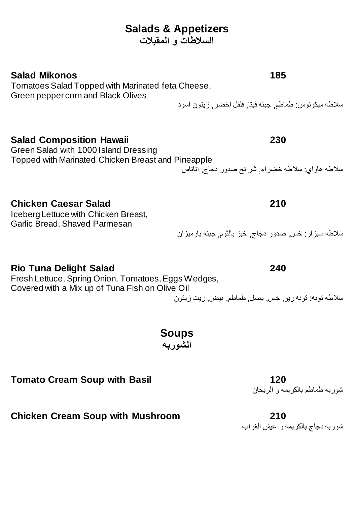# **Salads & Appetizers**

**السالطات و المقبالت**

#### **Salad Mikonos 185**

Tomatoes Salad Topped with Marinated feta Cheese, Green pepper corn and Black Olives

سالطه ميكونوس: طماطم, جبنه فيتا, فلفل اخضر, زيتون اسود

#### **Salad Composition Hawaii 230**

Green Salad with 1000 Island Dressing Topped with Marinated Chicken Breast and Pineapple

#### **Chicken Caesar Salad 210**

Iceberg Lettuce with Chicken Breast, Garlic Bread, Shaved Parmesan

سالطه هاواي: سالطه خضراء, شرائح صدور دجاج, اناناس

# سالطه سيزار: خس, صدور دجاج, خبز بالثوم, جبنه بارميزان

**Rio Tuna Delight Salad 240**

Fresh Lettuce, Spring Onion, Tomatoes, Eggs Wedges, Covered with a Mix up of Tuna Fish on Olive Oil

سالطه تونه: تونه ريو, خس, بصل, طماطم, بيض, زيت زيتون

**Soups الشوربه**

**Tomato Cream Soup with Basil 120**

شوربه طماطم بالكريمه و الريحان

**Chicken Cream Soup with Mushroom 210**

شوربه دجاج بالكريمه و عيش الغراب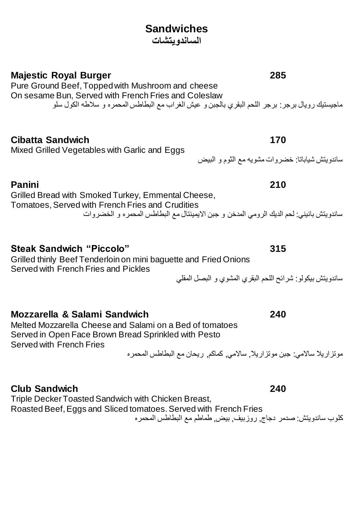#### **Sandwiches الساندويتشات**

**Majestic Royal Burger 285**

Pure Ground Beef, Topped with Mushroom and cheese On sesame Bun, Served with French Fries and Coleslaw ماجيستيك رويال برجر: برجر اللحم البقري بالجبن و عيش الغراب مع البطاطس المحمره و سالطه الكول سلو

**Cibatta Sandwich 170**

Mixed Grilled Vegetables with Garlic and Eggs

**Panini 210**

Grilled Bread with Smoked Turkey, Emmental Cheese, Tomatoes, Served with French Fries and Crudities ساندويتش بانيني: لحم الديك الرومي المدخن و جبن االيمينتال مع البطاطس المحمره و الخضروات

**Steak Sandwich "Piccolo" 315**

Grilled thinly Beef Tenderloinon mini baguette and Fried Onions Served with French Fries and Pickles

ساندويتش بيكولو: شرائح اللحم البقري المشوي و البصل المقلي

**Mozzarella & Salami Sandwich 240** 

Melted Mozzarella Cheese and Salami on a Bed of tomatoes Served in Open Face Brown Bread Sprinkled with Pesto Served with French Fries

موتزاريال ساالمي: جبن موتزاريال, ساالمي, كماكم, ريحان مع البطاطس المحمره

**Club Sandwich 240**

Triple Decker Toasted Sandwich with Chicken Breast,

Roasted Beef, Eggs and Sliced tomatoes. Served with French Fries

كلوب ساندويتش: صدمر دجاج, روزبيف, بيض, طماطم مع البطاطس المحمره

ساندويتش شياباتا: خضروات مشويه مع الثوم و البيض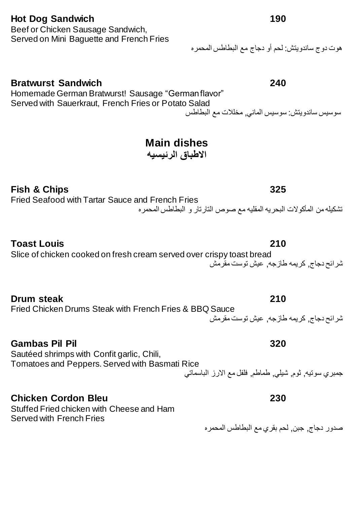# **Hot Dog Sandwich 190**

Beef or Chicken Sausage Sandwich, Served on Mini Baguette and French Fries

# هوت دوج ساندويتش: لحم أو دجاج مع البطاطس المحمره

#### **Bratwurst Sandwich 240**

Homemade German Bratwurst! Sausage "German flavor" Served with Sauerkraut, French Fries or Potato Salad

سوسيس ساندويتش: سوسيس الماني, مخلالت مع البطاطس

# **Main dishes**

**االطباق الرئيسيه**

# **Fish & Chips 325**

Fried Seafood with Tartar Sauce and French Fries

تشكيله من المأكوالت البحريه المقليه مع صوص التارتار و البطاطس المحمره

#### **Toast Louis 210**

# Slice of chicken cooked on fresh cream served over crispy toast bread

**Drum steak 210** Fried Chicken Drums Steak with French Fries & BBQ Sauce شرائح دجاج, كريمه طازجه, عيش توست مقرمش

#### **Gambas Pil Pil 320**

Sautéed shrimps with Confit garlic, Chili, Tomatoes and Peppers. Served with Basmati Rice

### **Chicken Cordon Bleu 230**

Stuffed Fried chicken with Cheese and Ham Served with French Fries

شرائح دجاج, كريمه طازجه, عيش توست مقرمش

جمبري سوتيه, ثوم, شيلي, طماطم, فلفل مع االرز الباسماتي

صدور دجاج, جبن, لحم بقري مع البطاطس المحمره